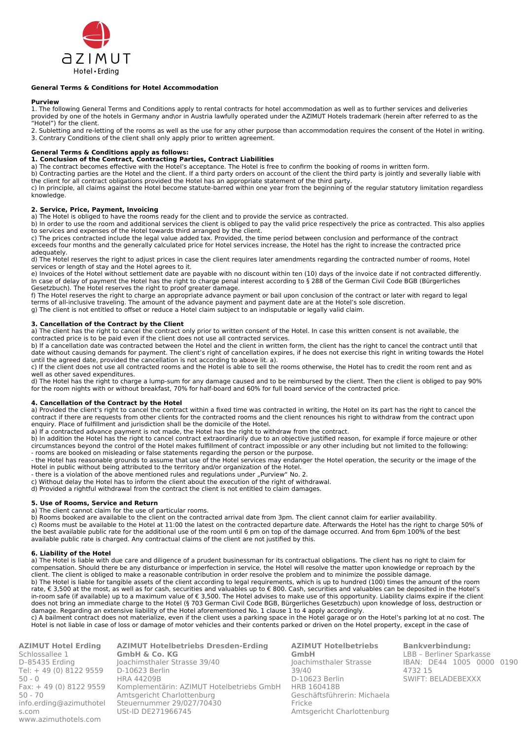

# **General Terms & Conditions for Hotel Accommodation**

#### **Purview**

1. The following General Terms and Conditions apply to rental contracts for hotel accommodation as well as to further services and deliveries provided by one of the hotels in Germany and\or in Austria lawfully operated under the AZIMUT Hotels trademark (herein after referred to as the "Hotel") for the client.

2. Subletting and re-letting of the rooms as well as the use for any other purpose than accommodation requires the consent of the Hotel in writing. 3. Contrary Conditions of the client shall only apply prior to written agreement.

# **General Terms & Conditions apply as follows:**

# **1. Conclusion of the Contract, Contracting Parties, Contract Liabilities**

a) The contract becomes effective with the Hotel's acceptance. The Hotel is free to confirm the booking of rooms in written form.

b) Contracting parties are the Hotel and the client. If a third party orders on account of the client the third party is jointly and severally liable with the client for all contract obligations provided the Hotel has an appropriate statement of the third party.

c) In principle, all claims against the Hotel become statute-barred within one year from the beginning of the regular statutory limitation regardless knowledge.

# **2. Service, Price, Payment, Invoicing**

a) The Hotel is obliged to have the rooms ready for the client and to provide the service as contracted.

b) In order to use the room and additional services the client is obliged to pay the valid price respectively the price as contracted. This also applies to services and expenses of the Hotel towards third arranged by the client.

c) The prices contracted include the legal value added tax. Provided, the time period between conclusion and performance of the contract exceeds four months and the generally calculated price for Hotel services increase, the Hotel has the right to increase the contracted price adequately.

d) The Hotel reserves the right to adjust prices in case the client requires later amendments regarding the contracted number of rooms, Hotel services or length of stay and the Hotel agrees to it.

e) Invoices of the Hotel without settlement date are payable with no discount within ten (10) days of the invoice date if not contracted differently. In case of delay of payment the Hotel has the right to charge penal interest according to § 288 of the German Civil Code BGB (Bürgerliches Gesetzbuch). The Hotel reserves the right to proof greater damage.

f) The Hotel reserves the right to charge an appropriate advance payment or bail upon conclusion of the contract or later with regard to legal terms of all-inclusive traveling. The amount of the advance payment and payment date are at the Hotel's sole discretion.

g) The client is not entitled to offset or reduce a Hotel claim subject to an indisputable or legally valid claim.

# **3. Cancellation of the Contract by the Client**

a) The client has the right to cancel the contract only prior to written consent of the Hotel. In case this written consent is not available, the contracted price is to be paid even if the client does not use all contracted services.

b) If a cancellation date was contracted between the Hotel and the client in written form, the client has the right to cancel the contract until that date without causing demands for payment. The client's right of cancellation expires, if he does not exercise this right in writing towards the Hotel until the agreed date, provided the cancellation is not according to above lit. a).

c) If the client does not use all contracted rooms and the Hotel is able to sell the rooms otherwise, the Hotel has to credit the room rent and as well as other saved expenditures.

d) The Hotel has the right to charge a lump-sum for any damage caused and to be reimbursed by the client. Then the client is obliged to pay 90% for the room nights with or without breakfast, 70% for half-board and 60% for full board service of the contracted price.

# **4. Cancellation of the Contract by the Hotel**

a) Provided the client's right to cancel the contract within a fixed time was contracted in writing, the Hotel on its part has the right to cancel the contract if there are requests from other clients for the contracted rooms and the client renounces his right to withdraw from the contract upon enquiry. Place of fulfillment and jurisdiction shall be the domicile of the Hotel.

a) If a contracted advance payment is not made, the Hotel has the right to withdraw from the contract.

b) In addition the Hotel has the right to cancel contract extraordinarily due to an objective justified reason, for example if force majeure or other circumstances beyond the control of the Hotel makes fulfillment of contract impossible or any other including but not limited to the following: - rooms are booked on misleading or false statements regarding the person or the purpose.

- the Hotel has reasonable grounds to assume that use of the Hotel services may endanger the Hotel operation, the security or the image of the Hotel in public without being attributed to the territory and/or organization of the Hotel.

- there is a violation of the above mentioned rules and regulations under "Purview" No. 2.

c) Without delay the Hotel has to inform the client about the execution of the right of withdrawal.

d) Provided a rightful withdrawal from the contract the client is not entitled to claim damages.

# **5. Use of Rooms, Service and Return**

a) The client cannot claim for the use of particular rooms.

b) Rooms booked are available to the client on the contracted arrival date from 3pm. The client cannot claim for earlier availability. c) Rooms must be available to the Hotel at 11:00 the latest on the contracted departure date. Afterwards the Hotel has the right to charge 50% of the best available public rate for the additional use of the room until 6 pm on top of the damage occurred. And from 6pm 100% of the best available public rate is charged. Any contractual claims of the client are not justified by this.

## **6. Liability of the Hotel**

a) The Hotel is liable with due care and diligence of a prudent businessman for its contractual obligations. The client has no right to claim for compensation. Should there be any disturbance or imperfection in service, the Hotel will resolve the matter upon knowledge or reproach by the client. The client is obliged to make a reasonable contribution in order resolve the problem and to minimize the possible damage. b) The Hotel is liable for tangible assets of the client according to legal requirements, which is up to hundred (100) times the amount of the room rate, € 3,500 at the most, as well as for cash, securities and valuables up to € 800. Cash, securities and valuables can be deposited in the Hotel's in-room safe (if available) up to a maximum value of € 3,500. The Hotel advises to make use of this opportunity. Liability claims expire if the client does not bring an immediate charge to the Hotel (§ 703 German Civil Code BGB, Bürgerliches Gesetzbuch) upon knowledge of loss, destruction or damage. Regarding an extensive liability of the Hotel aforementioned No. 1 clause 1 to 4 apply accordingly.

c) A bailment contract does not materialize, even if the client uses a parking space in the Hotel garage or on the Hotel's parking lot at no cost. The Hotel is not liable in case of loss or damage of motor vehicles and their contents parked or driven on the Hotel property, except in the case of

**AZIMUT Hotel Erding** Schlossallee 1 D–85435 Erding Tel: + 49 (0) 8122 9559 50 - 0 Fax: + 49 (0) 8122 9559 50 - 70 [info.erding@azimuthotel](mailto:info.erding@azimuthotels.) [s.](mailto:info.erding@azimuthotels.)com [www.azimuthotels](http://www.azimuthotels.com/).com

**AZIMUT Hotelbetriebs Dresden-Erding GmbH & Co. KG** Joachimsthaler Strasse 39/40 D-10623 Berlin HRA 44209B Komplementärin: AZIMUT Hotelbetriebs GmbH Amtsgericht Charlottenburg Steuernummer 29/027/70430 USt-ID DE271966745

**AZIMUT Hotelbetriebs GmbH** Joachimsthaler Strasse 39/40 D-10623 Berlin HRB 160418B Geschäftsführerin: Michaela Fricke Amtsgericht Charlottenburg

**Bankverbindung:** LBB – Berliner Sparkasse IBAN: DE44 1005 0000 0190 4732 15 SWIFT: BELADEBEXXX